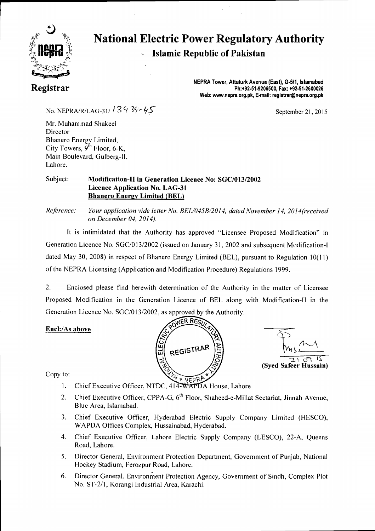

### **National Electric Power Regulatory Authority Islamic Republic of Pakistan**  K,

 $\sim$   $\sim$ 

**Registrar** 

**NEPRA Tower, Attaturk Avenue (East), G-511, Islamabad Ph:+92-51-9206500, Fax: +92-51-2600026 Web: www.nepra.org.pk, E-mail: registrar@nepra.org.pk** 

September 21, 2015

No. NEPRA/R/LAG-31/  $139.39 - 45$ 

Mr. Muhammad Shakeel Director Bhanero Energy Limited, City Towers,  $9^{th}$  Floor, 6-K, Main Boulevard, Gulberg-II, Lahore.

### Subject: **Modification-II in Generation Licence No: SGC/013/2002 Licence Application No. LAG-31 Bhanero Energy Limited (BEL)**

*Reference: Your application vide letter No. BEL/045B/2014, dated November 14, 2014(received on December 04, 2014).* 

It is intimidated that the Authority has approved "Licensee Proposed Modification" in Generation Licence No. SGC/013/2002 (issued on January 31, 2002 and subsequent Modification-I dated May 30, 2008) in respect of Bhanero Energy Limited (BEL), pursuant to Regulation 10(11) of the NEPRA Licensing (Application and Modification Procedure) Regulations 1999.

2. Enclosed please find herewith determination of the Authority in the matter of Licensee Proposed Modification in the Generation Licence of BEL along with Modification-II in the Generation Licence No. SGC/013/2002, as approved by the Authority.

### **EncL:/As above**





Copy to:

- 1. Chief Executive Officer, NTDC, 414-WAPDA House, Lahore
- 2. Chief Executive Officer, CPPA-G,  $6<sup>th</sup>$  Floor, Shaheed-e-Millat Sectariat, Jinnah Avenue, Blue Area, Islamabad.
- 3. Chief Executive Officer, Hyderabad Electric Supply Company Limited (HESCO), WAPDA Offices Complex, Hussainabad, Hyderabad.
- 4. Chief Executive Officer, Lahore Electric Supply Company (LESCO), 22-A, Queens Road, Lahore.
- 5. Director General, Environment Protection Department, Government of Punjab, National Hockey Stadium, Ferozpur Road, Lahore.
- 6. Director General, Environment Protection Agency, Government of Sindh, Complex Plot No. ST-2/1, Korangi Industrial Area, Karachi.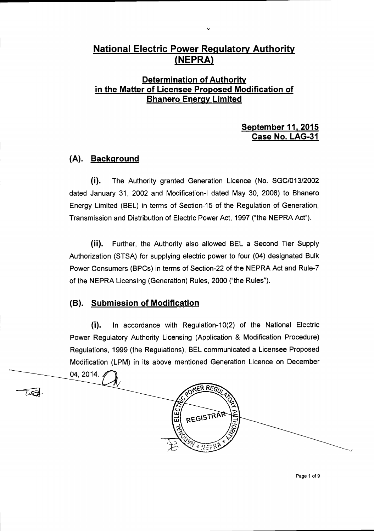### **National Electric Power Regulatory Authority**  (**NEPRA**)

### **Determination of Authority in the Matter of Licensee Proposed Modification of Bhanero Energy Limited**

### **September 11, 2015 Case No. LAG-31**

### **(A). Background**

(i). The Authority granted Generation Licence (No. SGC/013/2002 dated January 31, 2002 and Modification-I dated May 30, 2008) to Bhanero Energy Limited (BEL) in terms of Section-15 of the Regulation of Generation, Transmission and Distribution of Electric Power Act, 1997 ("the NEPRA Act").

(ii). Further, the Authority also allowed BEL a Second Tier Supply Authorization (STSA) for supplying electric power to four (04) designated Bulk Power Consumers (BPCs) in terms of Section-22 of the NEPRA Act and Rule-7 of the NEPRA Licensing (Generation) Rules, 2000 ("the Rules").

### **(B). Submission of Modification**

(i). In accordance with Regulation-10(2) of the National Electric Power Regulatory Authority Licensing (Application & Modification Procedure) Regulations, 1999 (the Regulations), BEL communicated a Licensee Proposed Modification (LPM) in its above mentioned Generation Licence on December

ER REGI

REGISTRAR

NFS

tæt

04, 2014.

Page 1 of 9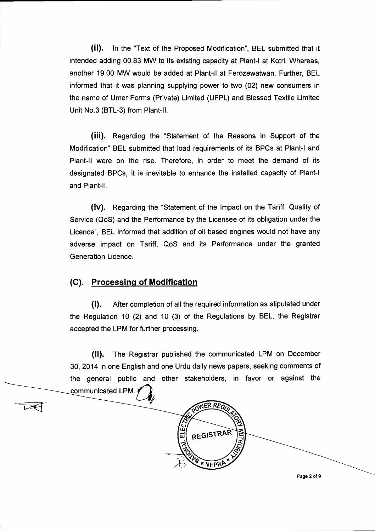(ii). In the "Text of the Proposed Modification", BEL submitted that it intended adding 00.83 MW to its existing capacity at Plant-I at Kotri. Whereas, another 19.00 MW would be added at Plant-II at Ferozewatwan. Further, BEL informed that it was planning supplying power to two (02) new consumers in the name of Umer Forms (Private) Limited (UFPL) and Blessed Textile Limited Unit No.3 (BTL-3) from Plant-II.

(iii). Regarding the "Statement of the Reasons in Support of the Modification" BEL submitted that load requirements of its BPCs at Plant-I and Plant-II were on the rise. Therefore, in order to meet the demand of its designated BPCs, it is inevitable to enhance the installed capacity of Plant-I and Plant-II.

(iv). Regarding the "Statement of the Impact on the Tariff, Quality of Service (QoS) and the Performance by the Licensee of its obligation under the Licence", BEL informed that addition of oil based engines would not have any adverse impact on Tariff, QoS and its Performance under the granted Generation Licence.

### **(C). Processing of Modification**

(1). After completion of all the required information as stipulated under the Regulation 10 (2) and 10 (3) of the Regulations by BEL, the Registrar accepted the LPM for further processing.

(ii). The Registrar published the communicated LPM on December 30, 2014 in one English and one Urdu daily news papers, seeking comments of the general public and other stakeholders, in favor or against the communicated LPM.

**WER REG REGISTRAR** NFPR<sup>1</sup> Page 2 of 9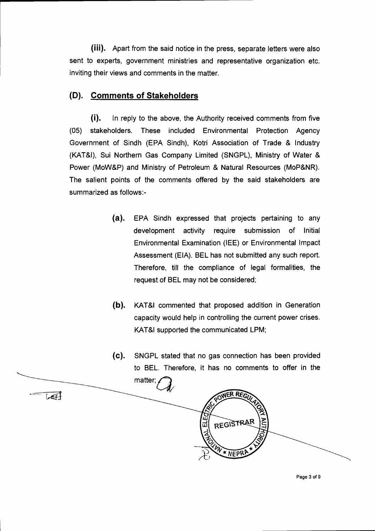(iii). Apart from the said notice in the press, separate letters were also sent to experts, government ministries and representative organization etc. inviting their views and comments in the matter.

### **(D). Comments of Stakeholders**

(i). In reply to the above, the Authority received comments from five (05) stakeholders. These included Environmental Protection Agency Government of Sindh (EPA Sindh), Kotri Association of Trade & Industry (KAT&I), Sui Northern Gas Company Limited (SNGPL), Ministry of Water & Power (MoW&P) and Ministry of Petroleum & Natural Resources (MoP&NR). The salient points of the comments offered by the said stakeholders are summarized as follows:-

- (a). EPA Sindh expressed that projects pertaining to any development activity require submission of Initial Environmental Examination (IEE) or Environmental Impact Assessment (EIA). BEL has not submitted any such report. Therefore, till the compliance of legal formalities, the request of BEL may not be considered;
- (b). KAT&I commented that proposed addition in Generation capacity would help in controlling the current power crises. KAT&I supported the communicated LPM;
- (C). SNGPL stated that no gas connection has been provided to BEL. Therefore, it has no comments to offer in the matter;



Page 3 of 9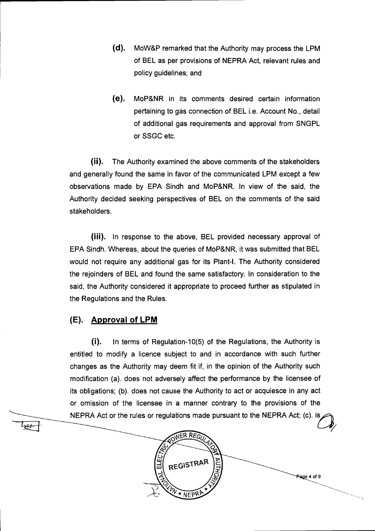- (d). MoW&P remarked that the Authority may process the LPM of BEL as per provisions of NEPRA Act, relevant rules and policy guidelines; and
- (e). MoP&NR in its comments desired certain information pertaining to gas connection of BEL i.e. Account No., detail of additional gas requirements and approval from SNGPL or SSGC etc.

(ii). The Authority examined the above comments of the stakeholders and generally found the same in favor of the communicated LPM except a few observations made by EPA Sindh and MoP&NR. In view of the said, the Authority decided seeking perspectives of BEL on the comments of the said stakeholders.

(iii). In response to the above, BEL provided necessary approval of EPA Sindh. Whereas, about the queries of MoP&NR, it was submitted that BEL would not require any additional gas for its Plant-I. The Authority considered the rejoinders of BEL and found the same satisfactory. In consideration to the said, the Authority considered it appropriate to proceed further as stipulated in the Regulations and the Rules.

### **(E). Approval of LPM**

tree

(i). In terms of Regulation-10(5) of the Regulations, the Authority is entitled to modify a licence subject to and in accordance with such further changes as the Authority may deem fit if, in the opinion of the Authority such modification (a). does not adversely affect the performance by the licensee of its obligations; (b). does not cause the Authority to act or acquiesce in any act or omission of the licensee in a manner contrary to the provisions of the NEPRA Act or the rules or regulations made pursuant to the NEPRA Act; (c). is

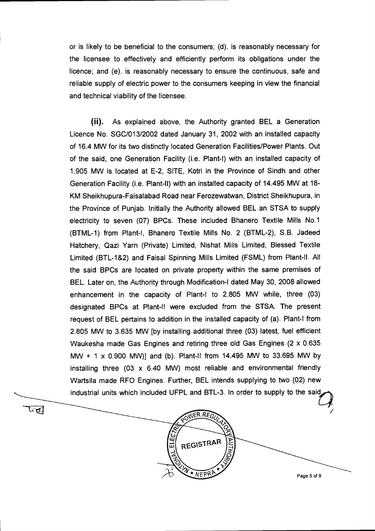or is likely to be beneficial to the consumers; (d). is reasonably necessary for the licensee to effectively and efficiently perform its obligations under the licence; and (e). is reasonably necessary to ensure the continuous, safe and reliable supply of electric power to the consumers keeping in view the financial and technical viability of the licensee.

(ii). As explained above, the Authority granted BEL a Generation Licence No. SGC/013/2002 dated January 31, 2002 with an installed capacity of 16.4 MW for its two distinctly located Generation Facilities/Power Plants. Out of the said, one Generation Facility (i.e. Plant-I) with an installed capacity of 1.905 MW is located at E-2, SITE, Kotri in the Province of Sindh and other Generation Facility (i.e. Plant-II) with an installed capacity of 14.495 MW at 18- KM Sheikhupura-Faisalabad Road near Ferozewatwan, District Sheikhupura, in the Province of Punjab. Initially the Authority allowed BEL an STSA to supply electricity to seven (07) BPCs. These included Bhanero Textile Mills No.1 (BTML-1) from Plant-I, Bhanero Textile Mills No. 2 (BTML-2), S.B. Jadeed Hatchery, Qazi Yarn (Private) Limited, Nishat Mills Limited, Blessed Textile Limited (BTL-1&2) and Faisal Spinning Mills Limited (FSML) from Plant-II. All the said BPCs are located on private property within the same premises of BEL. Later on, the Authority through Modification-I dated May 30, 2008 allowed enhancement in the capacity of Plant-I to 2.805 MW while, three (03) designated BPCs at Plant-II were excluded from the STSA. The present request of BEL pertains to addition in the installed capacity of (a). Plant-I from 2.805 MW to 3.635 MW [by installing additional three (03) latest, fuel efficient Waukesha made Gas Engines and retiring three old Gas Engines (2 x 0.635 MW + 1 x 0.900 MW)] and (b). Plant-II from 14.495 MW to 33.695 MW by installing three  $(03 \times 6.40 \text{ MW})$  most reliable and environmental friendly Wartsila made RFO Engines. Further, BEL intends supplying to two (02) new industrial units which included UFPL and BTL-3. In order to supply to the said





Page 5 of 9

 $\int$  $\frac{1}{\sqrt{2}}$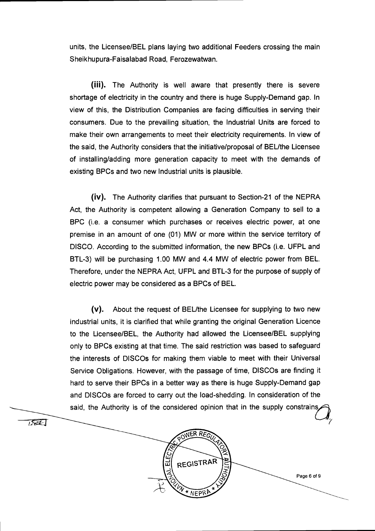units, the Licensee/BEL plans laying two additional Feeders crossing the main Sheikhupura-Faisalabad Road, Ferozewatwan.

(iii). The Authority is well aware that presently there is severe shortage of electricity in the country and there is huge Supply-Demand gap. In view of this, the Distribution Companies are facing difficulties in serving their consumers. Due to the prevailing situation, the Industrial Units are forced to make their own arrangements to meet their electricity requirements. In view of the said, the Authority considers that the initiative/proposal of BEL/the Licensee of installing/adding more generation capacity to meet with the demands of existing BPCs and two new Industrial units is plausible.

(iv). The Authority clarifies that pursuant to Section-21 of the NEPRA Act, the Authority is competent allowing a Generation Company to sell to a BPC (i.e. a consumer which purchases or receives electric power, at one premise in an amount of one (01) MW or more within the service territory of DISCO. According to the submitted information, the new BPCs (i.e. UFPL and BTL-3) will be purchasing 1.00 MW and 4.4 MW of electric power from BEL. Therefore, under the NEPRA Act, UFPL and BTL-3 for the purpose of supply of electric power may be considered as a BPCs of BEL.

(v). About the request of BEUthe Licensee for supplying to two new industrial units, it is clarified that while granting the original Generation Licence to the Licensee/BEL, the Authority had allowed the Licensee/BEL supplying only to BPCs existing at that time. The said restriction was based to safeguard the interests of DISCOs for making them viable to meet with their Universal Service Obligations. However, with the passage of time, DISCOs are finding it hard to serve their BPCs in a better way as there is huge Supply-Demand gap and DISCOs are forced to carry out the load-shedding. In consideration of the said, the Authority is of the considered opinion that in the supply constrains



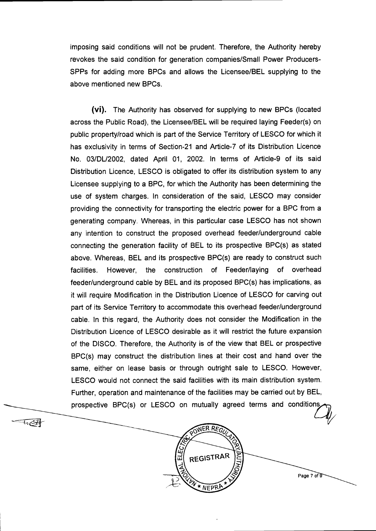imposing said conditions will not be prudent. Therefore, the Authority hereby revokes the said condition for generation companies/Small Power Producers-SPPs for adding more BPCs and allows the Licensee/BEL supplying to the above mentioned new BPCs.

(vi). The Authority has observed for supplying to new BPCs (located across the Public Road), the Licensee/BEL will be required laying Feeder(s) on public property/road which is part of the Service Territory of LESCO for which it has exclusivity in terms of Section-21 and Article-7 of its Distribution Licence No. 03/DU2002, dated April 01, 2002. In terms of Article-9 of its said Distribution Licence, LESCO is obligated to offer its distribution system to any Licensee supplying to a BPC, for which the Authority has been determining the use of system charges. In consideration of the said, LESCO may consider providing the connectivity for transporting the electric power for a BPC from a generating company. Whereas, in this particular case LESCO has not shown any intention to construct the proposed overhead feeder/underground cable connecting the generation facility of BEL to its prospective BPC(s) as stated above. Whereas, BEL and its prospective BPC(s) are ready to construct such facilities. However, the construction of Feeder/laying of overhead feeder/underground cable by BEL and its proposed BPC(s) has implications, as it will require Modification in the Distribution Licence of LESCO for carving out part of its Service Territory to accommodate this overhead feeder/underground cable. In this regard, the Authority does not consider the Modification in the Distribution Licence of LESCO desirable as it will restrict the future expansion of the DISCO. Therefore, the Authority is of the view that BEL or prospective BPC(s) may construct the distribution lines at their cost and hand over the same, either on lease basis or through outright sale to LESCO. However, LESCO would not connect the said facilities with its main distribution system. Further, operation and maintenance of the facilities may be carried out by BEL, prospective BPC(s) or LESCO on mutually agreed terms and conditions





Page 7 of 9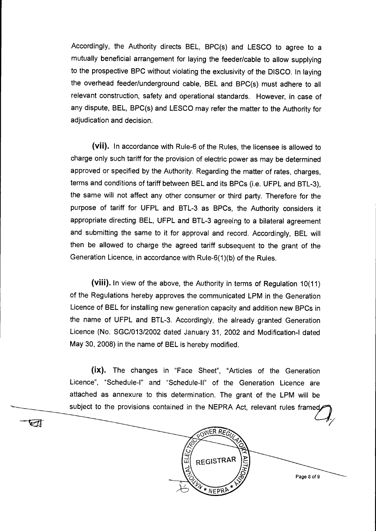Accordingly, the Authority directs BEL, BPC(s) and LESCO to agree to a mutually beneficial arrangement for laying the feeder/cable to allow supplying to the prospective BPC without violating the exclusivity of the DISCO. In laying the overhead feeder/underground cable, BEL and BPC(s) must adhere to all relevant construction, safety and operational standards. However, in case of any dispute, BEL, BPC(s) and LESCO may refer the matter to the Authority for adjudication and decision.

(vii). In accordance with Rule-6 of the Rules, the licensee is allowed to charge only such tariff for the provision of electric power as may be determined approved or specified by the Authority. Regarding the matter of rates, charges, terms and conditions of tariff between BEL and its BPCs (i.e. UFPL and BTL-3), the same will not affect any other consumer or third party. Therefore for the purpose of tariff for UFPL and BTL-3 as BPCs, the Authority considers it appropriate directing BEL, UFPL and BTL-3 agreeing to a bilateral agreement and submitting the same to it for approval and record. Accordingly, BEL will then be allowed to charge the agreed tariff subsequent to the grant of the Generation Licence, in accordance with Rule-6(1)(b) of the Rules.

(viii). In view of the above, the Authority in terms of Regulation 10(11) of the Regulations hereby approves the communicated LPM in the Generation Licence of BEL for installing new generation capacity and addition new BPCs in the name of UFPL and BTL-3. Accordingly, the already granted Generation Licence (No. SGC/013/2002 dated January 31, 2002 and Modification-I dated May 30, 2008) in the name of BEL is hereby modified.

(ix). The changes in "Face Sheet", "Articles of the Generation Licence", "Schedule-I" and "Schedule-II" of the Generation Licence are attached as annexure to this determination. The grant of the LPM will be subject to the provisions contained in the NEPRA Act, relevant rules framed

☑

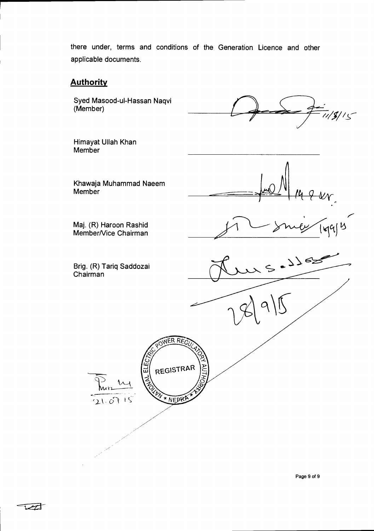there under, terms and conditions of the Generation Licence and other applicable documents.

### **Authority**

Member

Syed Masood-ul-Hassan Naqvi (Member)

 $19/15$ 

 $ii$  by may  $|qq|$ 

 $\zeta$ 

 $3562$ 

Khawaja Muhammad Naeem Member A ttt

Maj. (R) Haroon Rashid Member/Vice Chairman

Himayat UIIah Khan

Brig. (R) Tariq Saddozai Chairman

WER REC

REGISTRAR

\* NEPRI

**ALELE** 

 $\Lambda$ 

 $21.6715$ 

Page 9 of 9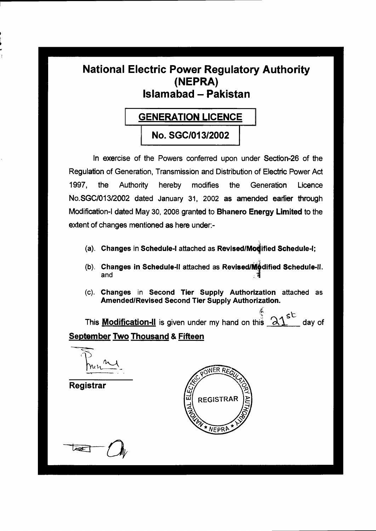### **National Electric Power Regulatory Authority (NEPRA) Islamabad — Pakistan**

### **GENERATION LICENCE**

**No. SGC/013/2002** 

**In exercise of the Powers conferred upon under Section-26 of the Regulation of Generation, Transmission and Distribution of Electric Power Act 1997, the Authority hereby modifies the Generation Licence No.SGC/013/2002 dated January 31, 2002 as amended earlier through Modification-I dated May 30, 2008 granted to Bhanero Energy Limited to the extent of changes mentioned as here under:-** 

- (a). Changes in Schedule-I attached as Revised/Modified Schedule-I;
- **(b). Changes in Schedule-II attached as Revised/M: dified Schedule-H. and**
- **(c). Changes in Second Tier Supply Authorization attached as Amended/Revised Second Tier Supply Authorization.**

This **Modification-II** is given under my hand on this  $\mathcal{AL}^{\text{st}}$  day of **September Two Thousand & Fifteen** 

**Registrar** 



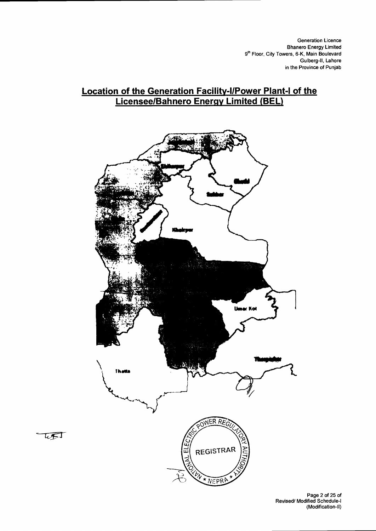### **Location of the Generation Facilitv-I/Power Plant-I of the Licensee/Bahnero Energy Limited (BEL)**



UFT

Page 2 of 25 of Revised/ Modified Schedule-I (Modification-II)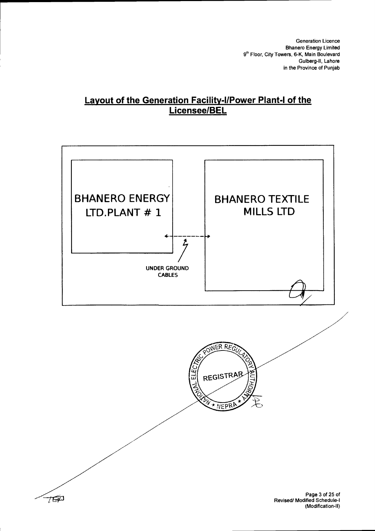### **Layout of the Generation Facility-I/Power Plant-I of the Licensee/BEL**



(Modification-II)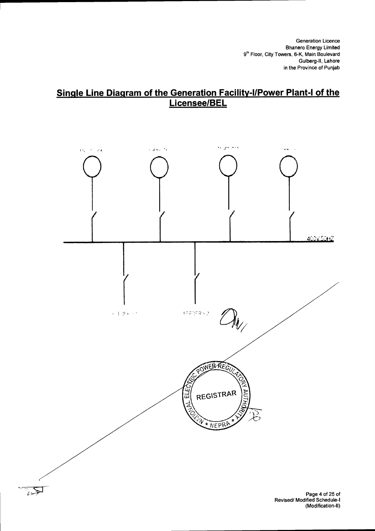### **Single Line Diagram of the Generation Facility-I/Power Plant-I of the Licensee/BEL**



 $\overline{\mathbb{R}^3}$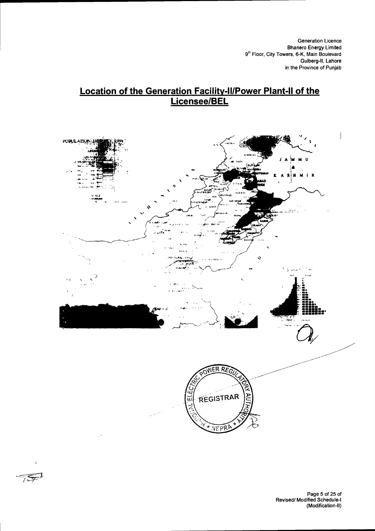## Location of the Generation Facility-II/Power Plant-II of the<br>Licensee/BEL



754

Page 5 of 25 of<br>Revised/ Modified Schedule-I (Modification-II)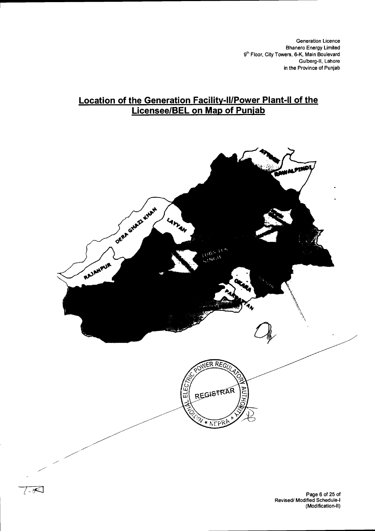### **Location of the Generation Facility-II/Power Plant-II of the Licensee/BEL on Map of Punjab**

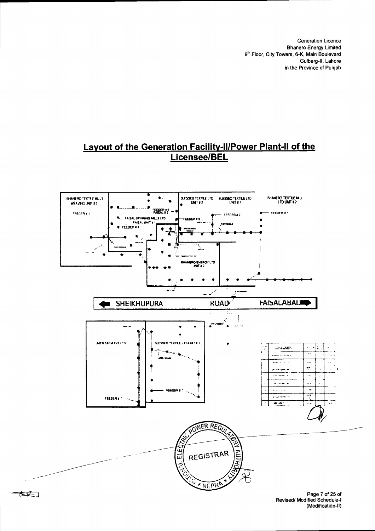### Layout of the Generation Facility-II/Power Plant-II of the Licensee/BEL



大买了

Page 7 of 25 of Revised/ Modified Schedule-I (Modification-II)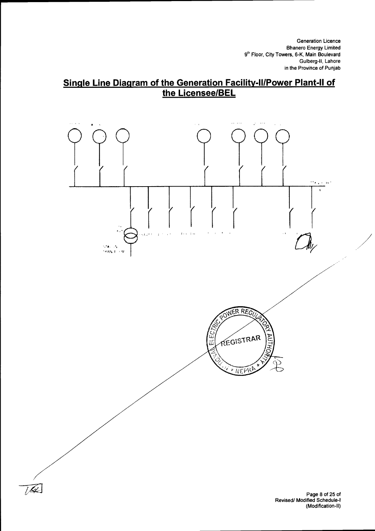### **Single Line Diagram of the Generation Facility-II/Power Plant-II of the Licensee/BEL**



 $\widehat{U}$ 

Page 8 of 25 of Revised/ Modified Schedule-I (Modification-II)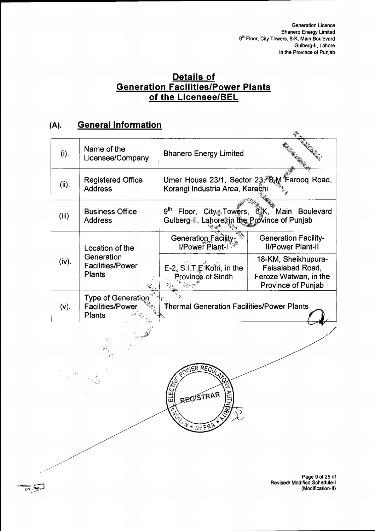# Details of<br>Generation Facilities/Power Plants<br>of the Licensee/BEL

### **General Information**  $(A).$

 $\frac{1}{2}$ 

| (i).      | Name of the<br>Licensee/Company                                       | <b>Bhanero Energy Limited</b>                                                   |                                                                                               |
|-----------|-----------------------------------------------------------------------|---------------------------------------------------------------------------------|-----------------------------------------------------------------------------------------------|
| (ii).     | <b>Registered Office</b><br><b>Address</b>                            | Umer House 23/1, Sector 23, Sam Farooq Road,<br>Korangi Industria Area, Karačhi |                                                                                               |
| $(iii)$ . | <b>Business Office</b><br><b>Address</b>                              | 9 <sup>th</sup><br>Gulberg-II, Lahore in the Province of Punjab                 | Floor, City Towers, 63K, Main Boulevard                                                       |
|           | Location of the                                                       | Generation Facility-<br>I/Power Plant-I                                         | <b>Generation Facility-</b><br><b>II/Power Plant-II</b>                                       |
| (iv).     | Generation<br><b>Facilities/Power</b><br><b>Plants</b>                | E-2, S.I.T.E Kotri, in the<br>Province of Sindh                                 | 18-KM, Sheikhupura-<br>Faisalabad Road,<br>Feroze Watwan, in the<br><b>Province of Punjab</b> |
| $(v)$ .   | <b>Type of Generation</b><br><b>Facilities/Power</b><br><b>Plants</b> | Thermal Generation Facilities/Power Plants                                      |                                                                                               |
|           |                                                                       |                                                                                 |                                                                                               |
|           |                                                                       |                                                                                 |                                                                                               |

VER REGI

REGISTRAR

\* NEPP

۱N<br>ا

ELECT

 $rac{1}{4}$ 

Page 9 of 25 of<br>Revised/ Modified Schedule-I<br>(Modification-II)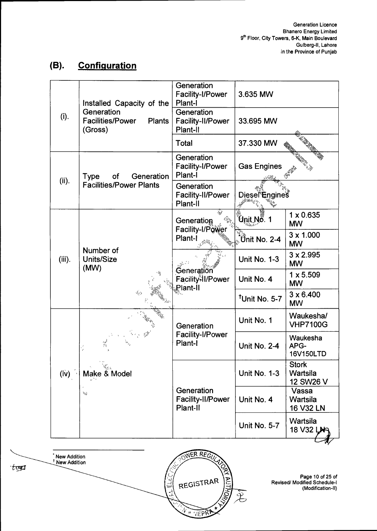#### $(B).$ **Configuration**

|              | Installed Capacity of the                                         | Generation<br><b>Facility-I/Power</b><br>Plant-I | 3.635 MW                                             |                                       |
|--------------|-------------------------------------------------------------------|--------------------------------------------------|------------------------------------------------------|---------------------------------------|
| (i).         | Generation<br><b>Facilities/Power</b><br><b>Plants</b><br>(Gross) | Generation<br>Facility-II/Power<br>Plant-II      | 33.695 MW                                            |                                       |
|              |                                                                   | Total                                            | 37.330 MW                                            |                                       |
| (ii).        | Generation<br>of<br>Type                                          | Generation<br>Facility-I/Power<br>Plant-I        | <b>Gas Engines</b>                                   |                                       |
|              | <b>Facilities/Power Plants</b>                                    | Generation<br>Facility-II/Power<br>Plant-II      | Diesel <sup>®</sup> Engines                          |                                       |
|              |                                                                   | نجيذ<br>Generation<br>Facility-I/Power           | Únit Nő. 1                                           | $1 \times 0.635$<br><b>MW</b>         |
|              | Number of<br>Units/Size<br>(MW)                                   | Plant-I                                          | $\overline{\overset{\circ}{\mathbf{U}}}$ nit No. 2-4 | $3 \times 1.000$<br><b>MW</b>         |
| $(iii)$ .    |                                                                   | Generation<br>Facility-II/Power<br>Plant-II      | <b>Unit No. 1-3</b>                                  | $3 \times 2.995$<br><b>MW</b>         |
|              |                                                                   |                                                  | Unit No. 4                                           | $1 \times 5.509$<br><b>MW</b>         |
|              |                                                                   |                                                  | <sup>t</sup> Unit No. 5-7                            | $3 \times 6.400$<br><b>MW</b>         |
|              | $\frac{1}{2}$<br>$\mathcal{R}_{\text{N}}$<br>Make & Model         | Generation                                       | Unit No. 1                                           | Waukesha/<br><b>VHP7100G</b>          |
|              |                                                                   | Facility-I/Power<br>Plant-I                      | Unit No. 2-4                                         | Waukesha<br>APG-<br>16V150LTD         |
| $(i\dot{v})$ |                                                                   | Generation<br>Facility-II/Power<br>Plant-II      | Unit No. 1-3                                         | <b>Stork</b><br>Wartsila<br>12 SW26 V |
|              | h.                                                                |                                                  | Unit No. 4                                           | Vassa<br>Wartsila<br>16 V32 LN        |
|              |                                                                   |                                                  | Unit No. 5-7                                         | Wartsila<br>18 V32 LN                 |



Page 10 of 25 of<br>Revised/ Modified Schedule-I<br>(Modification-II)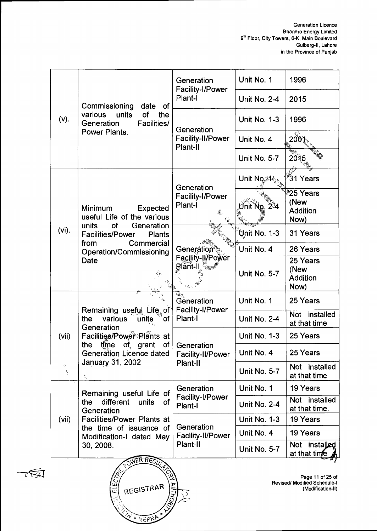|                     |                                                                                | Generation<br>Facility-I/Power                           | Unit No. 1                | 1996                                                     |
|---------------------|--------------------------------------------------------------------------------|----------------------------------------------------------|---------------------------|----------------------------------------------------------|
|                     | Commissioning<br>date<br><b>of</b>                                             | Plant-I                                                  | <b>Unit No. 2-4</b>       | 2015                                                     |
| (v).                | units<br>of<br>various<br>the<br>Generation<br><b>Facilities/</b>              | Generation                                               | <b>Unit No. 1-3</b>       | 1996                                                     |
|                     | Power Plants.                                                                  | <b>Facility-II/Power</b><br>Plant-II                     | Unit No. 4                | 2001.                                                    |
|                     |                                                                                |                                                          | <b>Unit No. 5-7</b>       | 2015                                                     |
|                     |                                                                                | Generation                                               | Unit No.34                | 37<br>31 Years                                           |
|                     | Minimum<br><b>Expected</b><br>useful Life of the various                       | Facility-I/Power<br>Plant-I<br>Q.,                       | Unit No. 234              | <sup>≱</sup> 25 Years<br>(New<br><b>Addition</b><br>Now) |
| (vi).               | of<br>units<br>Generation<br><b>Facilities/Power</b><br><b>Plants</b>          |                                                          | $\sqrt[3]{2}$ nit No. 1-3 | 31 Years                                                 |
|                     | Commercial<br>from<br><b>Operation/Commissioning</b><br>Date                   | <b>Generation®</b><br>Facility-II/Power<br>Blant-II sand | Unit No. 4                | 26 Years                                                 |
|                     |                                                                                |                                                          | <b>Unit No. 5-7</b>       | 25 Years<br>(New<br><b>Addition</b><br>Now)              |
|                     |                                                                                | Generation                                               | Unit No. 1                | 25 Years                                                 |
|                     | Remaining useful Life of<br>various<br>the<br>units<br><b>of</b><br>Generation | <b>Facility-I/Power</b><br>Plant-I                       | Unit No. 2-4              | Not installed<br>at that time                            |
| (vii)               | Facilities/Power <sup>®</sup> Rlants at                                        |                                                          | <b>Unit No. 1-3</b>       | 25 Years                                                 |
|                     | of<br>time<br>the<br>of grant<br><b>Generation Licence dated</b>               | Generation<br><b>Facility-II/Power</b>                   | Unit No. 4                | 25 Years                                                 |
| $\bar{\nabla}$<br>秀 | January 31, 2002<br>ħ.,                                                        | Plant-II                                                 | <b>Unit No. 5-7</b>       | Not installed<br>at that time                            |
|                     | Remaining useful Life of                                                       | Generation                                               | Unit No. 1                | 19 Years                                                 |
|                     | different<br>the<br>units<br>0f<br>Generation                                  | Facility-I/Power<br>Plant-I                              | <b>Unit No. 2-4</b>       | Not installed<br>at that time.                           |
| (vii)               | <b>Facilities/Power Plants at</b>                                              |                                                          | <b>Unit No. 1-3</b>       | 19 Years                                                 |
|                     | the time of issuance of<br>Modification-I dated May                            | Generation<br>Facility-II/Power                          | Unit No. 4                | 19 Years                                                 |
|                     | 30, 2008.<br><b>ANER REGIT</b>                                                 | Plant-II                                                 | <b>Unit No. 5-7</b>       | Not installed<br>at that time                            |
|                     |                                                                                |                                                          |                           |                                                          |



 $\tau$   $\approx$ 

Page 11 of 25 of<br>Revised/ Modified Schedule-I<br>(Modification-II)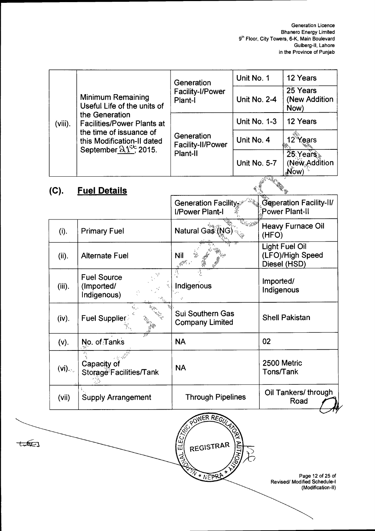|                 |                                                                                                                                                                                                                                                                                       | Generation                                                                     | Unit No. 1          |                                                           | 12 Years                                                                     |
|-----------------|---------------------------------------------------------------------------------------------------------------------------------------------------------------------------------------------------------------------------------------------------------------------------------------|--------------------------------------------------------------------------------|---------------------|-----------------------------------------------------------|------------------------------------------------------------------------------|
|                 | <b>Minimum Remaining</b><br>Useful Life of the units of                                                                                                                                                                                                                               | <b>Facility-I/Power</b><br>Plant-I                                             | Unit No. 2-4        |                                                           | 25 Years<br>(New Addition<br>Now)                                            |
| $(viii)$ .      | the Generation<br><b>Facilities/Power Plants at</b><br>the time of issuance of<br>this Modification-II dated                                                                                                                                                                          |                                                                                | <b>Unit No. 1-3</b> |                                                           | 12 Years                                                                     |
|                 |                                                                                                                                                                                                                                                                                       | Generation<br>Facility-II/Power                                                | Unit No. 4          |                                                           | 12 <sup>Y</sup> ears                                                         |
|                 | September $21^{56}$ , 2015.                                                                                                                                                                                                                                                           | Plant-II                                                                       | <b>Unit No. 5-7</b> |                                                           | $25$ Years<br>(New Addition<br>Now)                                          |
| (C).            | <b>Fuel Details</b>                                                                                                                                                                                                                                                                   |                                                                                |                     |                                                           |                                                                              |
|                 |                                                                                                                                                                                                                                                                                       | Generation Facility<br>I/Power Plant-I                                         |                     |                                                           | Generation Facility-II/<br><b>Power Plant-II</b>                             |
| (i).            | <b>Primary Fuel</b>                                                                                                                                                                                                                                                                   | Natural Gas (NG                                                                | ور<br>1997ء         | (HFO)                                                     | <b>Heavy Furnace Oil</b>                                                     |
| (ii).           | <b>Alternate Fuel</b>                                                                                                                                                                                                                                                                 | <b>Nil</b><br>3588                                                             |                     | <b>Light Fuel Oil</b><br>(LFO)/High Speed<br>Diesel (HSD) |                                                                              |
| $(iii)$ .       | <b>Fuel Source</b><br>(Imported/<br>Indigenous)                                                                                                                                                                                                                                       | Ą<br>Indigenous                                                                |                     | Imported/<br>Indigenous                                   |                                                                              |
| (iv).           | <b>Fuel Supplier</b>                                                                                                                                                                                                                                                                  | <b>Sui Southern Gas</b><br><b>Company Limited</b>                              |                     |                                                           | <b>Shell Pakistan</b>                                                        |
| (v).            | No. of Tanks                                                                                                                                                                                                                                                                          | <b>NA</b>                                                                      |                     | 02                                                        |                                                                              |
| $(vj)_{\infty}$ | the components of the components of the components of the components of the components of the components of the components of the components of the components of the components of the components of the components of the co<br>Capacity of<br>Storage <sup>®</sup> Facilities/Tank | <b>NA</b>                                                                      |                     | 2500 Metric<br>Tons/Tank                                  |                                                                              |
| (vii)           | <b>Supply Arrangement</b>                                                                                                                                                                                                                                                             | <b>Through Pipelines</b>                                                       |                     |                                                           | Oil Tankers/through<br>Road                                                  |
|                 |                                                                                                                                                                                                                                                                                       | POWER REGILA<br>ت<br>سا<br>REGISTRAR<br>$\vec{A} \choose \vec{A}$<br>W * NEPRA |                     |                                                           | Page 12 of 25 of<br><b>Revised/ Modified Schedule-I</b><br>(Modification-II) |

 $t=(\sqrt{2}t)^2$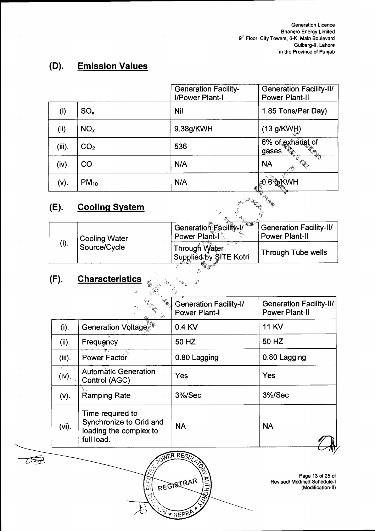### $(D).$ **Emission Values**

|           |                       | <b>Generation Facility-</b><br>I/Power Plant-I | <b>Generation Facility-II/</b><br><b>Power Plant-II</b> |
|-----------|-----------------------|------------------------------------------------|---------------------------------------------------------|
| (i)       | $SO_{x}$              | <b>Nil</b>                                     | 1.85 Tons/Per Day)                                      |
| (ii).     | NO <sub>x</sub>       | 9.38g/KWH                                      | (13 g/KW)                                               |
| $(iii)$ . | CO <sub>2</sub>       | 536                                            | 6% of exhaust of<br>gases<br>्रीके<br>जन्म              |
| (iv).     | CO                    | N/A                                            | <b>NA</b>                                               |
| (V).      | $PM_{10}$             | N/A                                            | <b>WH</b>                                               |
| (E).      | <b>Cooling System</b> | $\sim$ ,                                       |                                                         |

#### $(E).$ **Cooling System**

| (E).          | <b>Cooling System</b> | <b>Text</b><br>W.                                   |                                                         |  |
|---------------|-----------------------|-----------------------------------------------------|---------------------------------------------------------|--|
|               | <b>Cooling Water</b>  | Generation Facility-I<br>Power Plant-I <sup>*</sup> | <b>Generation Facility-II/</b><br><b>Power Plant-II</b> |  |
| (i).          | Source/Cycle          | Through Water<br>Supplied by SITE Kotri             | Through Tube wells                                      |  |
| $\mathcal{L}$ | Charaatariatiaa       |                                                     |                                                         |  |

### <u>Characteristics</u>  $(F).$

 $\mathcal{T}\hspace{-1ex}\rightarrow\hspace{-1ex}\mathcal{T}$ 

|           | $\sim$ $\frac{1}{10}$ .                                                             | <b>Generation Facility-I/</b><br><b>Power Plant-I</b> | <b>Generation Facility-II/</b><br><b>Power Plant-II</b>                      |
|-----------|-------------------------------------------------------------------------------------|-------------------------------------------------------|------------------------------------------------------------------------------|
| (i).      | <b>Generation Voltage</b>                                                           | 0.4 KV                                                | <b>11 KV</b>                                                                 |
| (ii).     | Frequency                                                                           | 50 HZ                                                 | 50 HZ                                                                        |
| $(iii)$ . | <b>Power Factor</b>                                                                 | 0.80 Lagging                                          | 0.80 Lagging                                                                 |
| (iv).     | <b>Automatic Generation</b><br>Control (AGC)                                        | Yes                                                   | Yes                                                                          |
| (v).      | <b>Ramping Rate</b>                                                                 | 3%/Sec                                                | 3%/Sec                                                                       |
| $(vi)$ .  | Time required to<br>Synchronize to Grid and<br>loading the complex to<br>full load. | <b>NA</b>                                             | <b>NA</b>                                                                    |
|           | ابها<br>آما                                                                         | ER REGULAR<br><b>WOHING</b><br>REGISTRAR<br>WANEPRA   | Page 13 of 25 of<br><b>Revised/ Modified Schedule-I</b><br>(Modification-II) |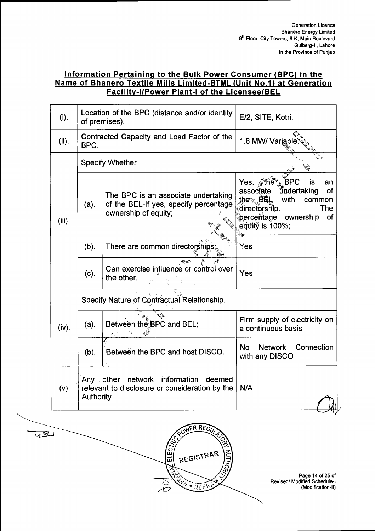### **Information Pertaining to the Bulk Power Consumer (BPC) in the Name of Bhanero Textile Mills Limited-BTML (Unit No.1) at Generation Facility-I/Power Plant-I of the Licensee/BEL**

| (i).      |                                                                                                                        | Location of the BPC (distance and/or identity<br>of premises).                                       | E/2, SITE, Kotri.                                                                                                                                                                         |
|-----------|------------------------------------------------------------------------------------------------------------------------|------------------------------------------------------------------------------------------------------|-------------------------------------------------------------------------------------------------------------------------------------------------------------------------------------------|
| (ii).     | BPC.                                                                                                                   | Contracted Capacity and Load Factor of the                                                           | 1.8 MW/ Variable                                                                                                                                                                          |
|           |                                                                                                                        | <b>Specify Whether</b>                                                                               |                                                                                                                                                                                           |
| $(iii)$ . | (a).                                                                                                                   | The BPC is an associate undertaking<br>of the BEL-If yes, specify percentage<br>ownership of equity; | Yes, <i>f</i> the a BPC<br>is<br>an<br>tindertaking<br>associate<br>of<br>the⊗ BËL,<br>with<br>common<br>directorship.<br>The<br>percentage ownership<br>of<br>$\tilde{eq}$ ulty is 100%; |
|           | $(b)$ .                                                                                                                | There are common directorships;                                                                      | Yes                                                                                                                                                                                       |
|           | (c).                                                                                                                   | Can exercise influence or control over<br>the other.                                                 | Yes                                                                                                                                                                                       |
|           |                                                                                                                        | Specify Nature of Contractual Relationship.                                                          |                                                                                                                                                                                           |
| (iv).     | $(a)$ .                                                                                                                | Between the BPC and BEL;                                                                             | Firm supply of electricity on<br>a continuous basis                                                                                                                                       |
|           | (b).                                                                                                                   | Between the BPC and host DISCO.                                                                      | Connection<br><b>No</b><br><b>Network</b><br>with any DISCO                                                                                                                               |
| $(v)$ .   | network information<br>Any $\triangle$ other<br>deemed<br>relevant to disclosure or consideration by the<br>Authority. |                                                                                                      | N/A.                                                                                                                                                                                      |

WER REGU

REGISTRAR

**X NIEPR** 

ΨÑ

RUT

**FLEGT** 

 $\overline{u}$ 

Page 14 of 25 of Revised/ Modified Schedule-I (Modification-II)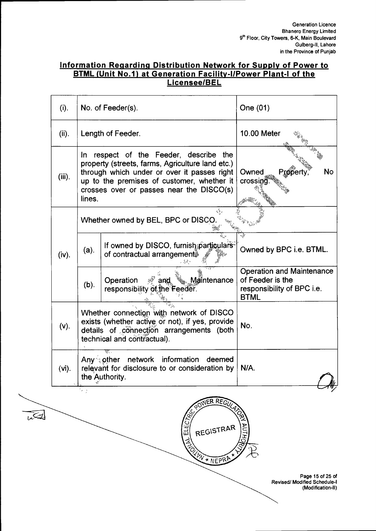### **Information Regarding Distribution Network for Supply of Power to BTML (Unit No.1) at Generation Facility-I/Power Plant-I of the Licensee/BEL**

| (i).      |         | No. of Feeder(s).                                                                                                                                                                                                                   | One (01)                                                                                          |
|-----------|---------|-------------------------------------------------------------------------------------------------------------------------------------------------------------------------------------------------------------------------------------|---------------------------------------------------------------------------------------------------|
| (ii).     |         | Length of Feeder.                                                                                                                                                                                                                   | 10.00 Meter                                                                                       |
| $(iii)$ . | lines.  | In respect of the Feeder, describe the<br>property (streets, farms, Agriculture land etc.)<br>through which under or over it passes right<br>up to the premises of customer, whether it<br>crosses over or passes near the DISCO(s) | <b>No</b><br>Owned<br>Property<br>crossing                                                        |
|           |         | ζŚ,<br>Whether owned by BEL, BPC or DISCO.                                                                                                                                                                                          |                                                                                                   |
| (iv).     | $(a)$ . | If owned by DISCO, furnish particulars<br>of contractual arrangement <sup>®</sup>                                                                                                                                                   | Owned by BPC i.e. BTML.                                                                           |
|           | (b).    | ‱ Maintenance<br>Operation<br>$\mathscr{A}$ and<br>responsibility of the Feeder.                                                                                                                                                    | <b>Operation and Maintenance</b><br>of Feeder is the<br>responsibility of BPC i.e.<br><b>BTML</b> |
| (v).      |         | Whether connection with network of DISCO<br>exists (whether active or not), if yes, provide<br>details of connection arrangements (both<br>technical and contractual).                                                              | No.                                                                                               |
| (vi).     |         | network information<br>Any⊜other<br>deemed<br>relevant for disclosure to or consideration by<br>the Authority.                                                                                                                      | N/A.                                                                                              |
|           | tk y    | POWER REGILARD<br>زیا<br>REGISTRAR<br>긊<br>AND A REPRACT                                                                                                                                                                            | <b>OHIND</b>                                                                                      |
|           |         |                                                                                                                                                                                                                                     | Page 15 of 25 of<br><b>Revised/ Modified Schedule-I</b>                                           |

 $\overline{\mathcal{L}}$ 

Page 15 of 25 of Revised/ Modified Schedule-I (Modification-II)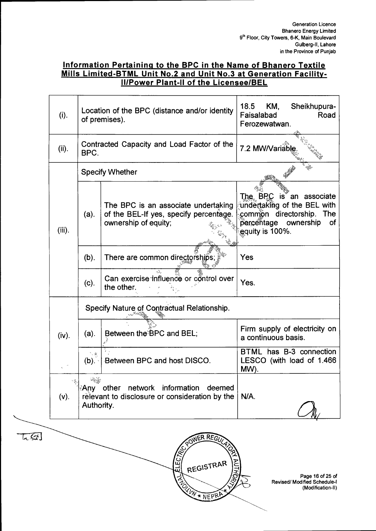### **Information Pertaining to the BPC in the Name of Bhanero Textile Mills Limited-BTML Unit No.2 and Unit No.3 at Generation Facility-II/Power Plant-II of the Licensee/BEL**

|        | $(i)$ .       | Location of the BPC (distance and/or identity<br>of premises). |                                                                                                       | 18.5<br>KM,<br>Sheikhupura-<br>Road<br>Faisalabad<br>Ferozewatwan.                                                                        |
|--------|---------------|----------------------------------------------------------------|-------------------------------------------------------------------------------------------------------|-------------------------------------------------------------------------------------------------------------------------------------------|
|        | (ii).         | BPC.                                                           | Contracted Capacity and Load Factor of the                                                            | 7.2 MW/Variable                                                                                                                           |
|        |               |                                                                | <b>Specify Whether</b>                                                                                |                                                                                                                                           |
|        | $(iii)$ .     | $(a)$ .                                                        | The BPC is an associate undertaking<br>of the BEL-If yes, specify percentage.<br>ownership of equity; | The BPC<br>is an associate<br>undertaking of the BEL with<br>common directorship.<br>The<br>percentage ownership<br>of<br>equity is 100%. |
|        |               | $(b)$ .                                                        | There are common directorships;                                                                       | Yes                                                                                                                                       |
|        |               | (c).                                                           | κk,<br>Can exercise influence or control over<br>the other.                                           | Yes.                                                                                                                                      |
|        |               |                                                                | Specify Nature of Contractual Relationship.                                                           |                                                                                                                                           |
|        | (iv).         | $(a)$ .                                                        | Between the BPC and BEL;                                                                              | Firm supply of electricity on<br>a continuous basis.                                                                                      |
|        |               | 气象<br>$(b)$ .                                                  | Between BPC and host DISCO.                                                                           | BTML has B-3 connection<br>LESCO (with load of 1.466<br>MW).                                                                              |
|        | 嗪.<br>$(v)$ . | larida<br>Authority.                                           | <b>Any</b> other network information<br>deemed<br>relevant to disclosure or consideration by the      | N/A.                                                                                                                                      |
| $\tau$ |               |                                                                | ER REGULA<br><b>REVILLE</b><br>REGISTRAR                                                              |                                                                                                                                           |

W \* NEPRA

Page 16 of 25 of Revised/ Modified Schedule-I (Modification-II)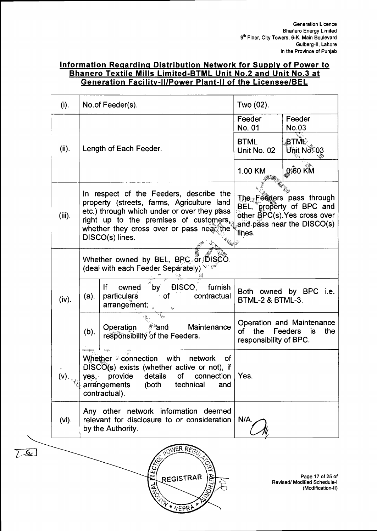### **Information Regarding Distribution Network for Supply of Power to Bhanero Textile Mills Limited-BTML Unit No.2 and Unit No.3 at Generation Facility-II/Power Plant-II of the Licensee/BEL**

| (i).                                     |                                                                                                                                                                                                                    | No.of Feeder(s).                                                                                                                                                                                                                              | Two (02).                                  |                                                                                                                    |  |
|------------------------------------------|--------------------------------------------------------------------------------------------------------------------------------------------------------------------------------------------------------------------|-----------------------------------------------------------------------------------------------------------------------------------------------------------------------------------------------------------------------------------------------|--------------------------------------------|--------------------------------------------------------------------------------------------------------------------|--|
|                                          |                                                                                                                                                                                                                    |                                                                                                                                                                                                                                               | Feeder<br>No. 01                           | Feeder<br><b>No.03</b>                                                                                             |  |
| (ii).                                    |                                                                                                                                                                                                                    | Length of Each Feeder.                                                                                                                                                                                                                        | <b>BTML</b><br>Unit No. 02                 | .NÑE<br>Unit No®03                                                                                                 |  |
|                                          |                                                                                                                                                                                                                    |                                                                                                                                                                                                                                               | 1.00 KM                                    | 0.60 KM                                                                                                            |  |
| $(iii)$ .                                |                                                                                                                                                                                                                    | In respect of the Feeders, describe the<br>property (streets, farms, Agriculture land<br>etc.) through which under or over they pass<br>right up to the premises of customers.<br>whether they cross over or pass near the<br>DISCO(s) lines. | lines.                                     | The Feeders pass through<br>BEL, property of BPC and<br>other BPC(s). Yes cross over<br>and pass near the DISCO(s) |  |
|                                          |                                                                                                                                                                                                                    | Whether owned by BEL, BPC or DISCO.<br>(deal with each Feeder Separately)                                                                                                                                                                     |                                            |                                                                                                                    |  |
| (iv).                                    | by DISCO,<br>lf<br>furnish<br>owned<br>contractual<br>particulars<br>≟ of<br>(a).<br>arrangement;<br>$\mathcal{E}^{\mathcal{E}}$<br>ैं and<br>Operation<br>Maintenance<br>(b).<br>responsibility of the Feeders.   |                                                                                                                                                                                                                                               | Both owned by BPC i.e.<br>BTML-2 & BTML-3. |                                                                                                                    |  |
|                                          |                                                                                                                                                                                                                    |                                                                                                                                                                                                                                               | the<br>of<br>responsibility of BPC.        | Operation and Maintenance<br>Feeders is<br>the                                                                     |  |
| (v). $\left  \sum_{i=1}^{n} x_i \right $ | Whether <sup>3</sup> connection<br>with<br>network<br>0f<br>$DISCO(s)$ exists (whether active or not), if<br>yes, provide details of connection Yes.<br>arrangements<br>(both<br>technical<br>and<br>contractual). |                                                                                                                                                                                                                                               |                                            |                                                                                                                    |  |
| $(vi)$ .                                 | Any other network information deemed<br>relevant for disclosure to or consideration<br>N/A<br>by the Authority.                                                                                                    |                                                                                                                                                                                                                                               |                                            |                                                                                                                    |  |



 $7.8$ 

Page 17 of 25 of Revised/ Modified Schedule-I (Modification-II)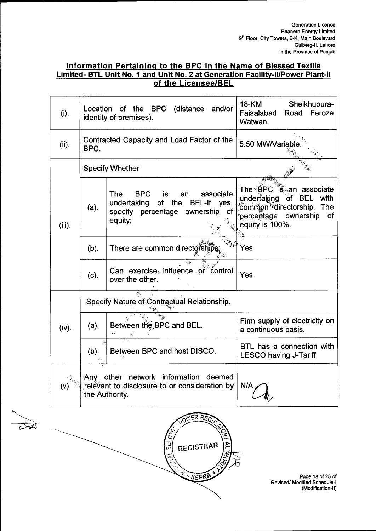### Information Pertaining to the BPC in the Name of Blessed Textile<br>Limited- BTL Unit No. 1 and Unit No. 2 at Generation Facility-II/Power Plant-II of the Licensee/BEL

| (i).      |                                                                            | Location of the BPC (distance and/or<br>identity of premises).                                                                 | <b>18-KM</b><br>Sheikhupura-<br>Road<br>Feroze<br>Faisalabad<br>Watwan.                                                                            |  |  |
|-----------|----------------------------------------------------------------------------|--------------------------------------------------------------------------------------------------------------------------------|----------------------------------------------------------------------------------------------------------------------------------------------------|--|--|
| (ii).     | BPC.                                                                       | Contracted Capacity and Load Factor of the                                                                                     | 5.50 MW/Variable                                                                                                                                   |  |  |
|           |                                                                            | <b>Specify Whether</b>                                                                                                         |                                                                                                                                                    |  |  |
| $(iii)$ . | (a).                                                                       | <b>BPC</b><br>The<br>associate<br>is.<br>an<br>undertaking of the BEL-If yes,<br>specify percentage ownership<br>of<br>equity; | The $\triangle$ <b>BPC</b> is an associate<br>of BEL with<br>underfaking<br>common directorship. The<br>percentage ownership of<br>equity is 100%. |  |  |
|           | $(b)$ .                                                                    | There are common directorships                                                                                                 | Yes                                                                                                                                                |  |  |
|           | (c).                                                                       | Can exercise, influence or control<br>over the other.                                                                          | Yes                                                                                                                                                |  |  |
|           | $\mathcal{L}_{\mathcal{L}}$<br>Specify Nature of Contractual Relationship. |                                                                                                                                |                                                                                                                                                    |  |  |
| (iv).     | $(a)$ .                                                                    | Between the BPC and BEL.<br>无人                                                                                                 | Firm supply of electricity on<br>a continuous basis.                                                                                               |  |  |
|           | $(b)$ .                                                                    | Between BPC and host DISCO.                                                                                                    | BTL has a connection with<br><b>LESCO having J-Tariff</b>                                                                                          |  |  |
| (V).      |                                                                            | Any other network information deemed<br>relevant to disclosure to or consideration by<br>the Authority.                        | N/A                                                                                                                                                |  |  |



ভ্য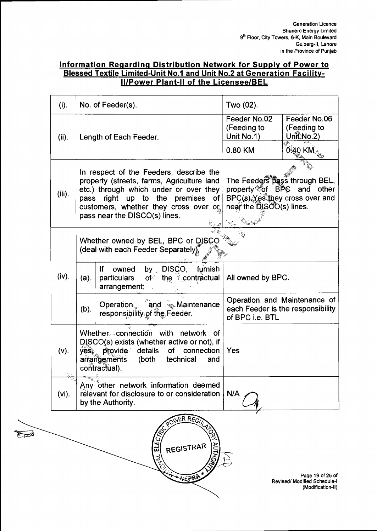### **Information Regarding Distribution Network for Supply of Power to Blessed Textile Limited-Unit No.1 and Unit No.2 at Generation Facility-II/Power Plant-II of the Licensee/BEL**

| (i).      | No. of Feeder(s).                                                                                                                                                                                   |                                                                                                                                                                                                                                                | Two (02).                                                                                                                 |                                           |
|-----------|-----------------------------------------------------------------------------------------------------------------------------------------------------------------------------------------------------|------------------------------------------------------------------------------------------------------------------------------------------------------------------------------------------------------------------------------------------------|---------------------------------------------------------------------------------------------------------------------------|-------------------------------------------|
| (ii).     |                                                                                                                                                                                                     | Length of Each Feeder.                                                                                                                                                                                                                         | Feeder No.02<br>(Feeding to<br>Unit No.1)                                                                                 | Feeder No.06<br>(Feeding to<br>Unit No.2) |
|           |                                                                                                                                                                                                     |                                                                                                                                                                                                                                                | 0.80 KM                                                                                                                   | 0.40 KM $_{\rm \mathbb{Z}_2}$             |
| $(iii)$ . | pass                                                                                                                                                                                                | In respect of the Feeders, describe the<br>property (streets, farms, Agriculture land<br>etc.) through which under or over they<br>up to the premises<br>right<br>of<br>customers, whether they cross over or<br>pass near the DISCO(s) lines. | The Feeders pass through BEL,<br>property of BPC and other<br>BPC(s). Yes they cross over and<br>near the DISCO(s) lines. |                                           |
|           | Whether owned by BEL, BPC or DISCC<br>(deal with each Feeder Separately).                                                                                                                           |                                                                                                                                                                                                                                                |                                                                                                                           |                                           |
| (iv).     | $(a)$ .                                                                                                                                                                                             | furnish<br>by DISCO.<br>lf<br>owned<br>of <sup>3</sup> the contractual<br>particulars<br>arrangement;                                                                                                                                          | All owned by BPC.                                                                                                         |                                           |
|           | $(b)$ .                                                                                                                                                                                             | Operation and <b>Register Maintenance</b><br>responsibility of the Feeder.                                                                                                                                                                     | Operation and Maintenance of<br>each Feeder is the responsibility<br>of BPC i.e. BTL                                      |                                           |
| (v).      | Whether connection with network<br>Οf<br>$DISCO(s)$ exists (whether active or not), if<br>yes, provide<br>details<br>of<br>connection<br>arrangements<br>technical<br>(both<br>and<br>contractual). |                                                                                                                                                                                                                                                | Yes                                                                                                                       |                                           |
| $(vi)$ .  | Any other network information deemed<br>relevant for disclosure to or consideration<br>by the Authority.                                                                                            |                                                                                                                                                                                                                                                | N/A                                                                                                                       |                                           |



 $\nabla^2$ 

Page 19 of 25 of Revised/ Modified Schedule-I (Modification-II)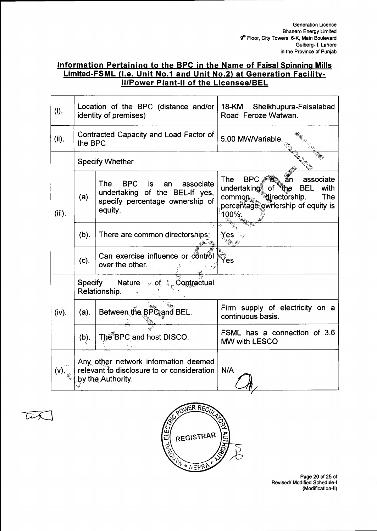### **Information Pertaining to the BPC in the Name of Faisal Spinning Mills Limited-FSML (i.e. Unit No.1 and Unit No.2) at Generation Facility-II/Power Plant-II of the Licensee/BEL**

| (i).      | Location of the BPC (distance and/or<br>identity of premises)                                           |                                                                                                                                   | 18-KM<br>Sheikhupura-Faisalabad<br>Road Feroze Watwan.                                                                                                                         |  |
|-----------|---------------------------------------------------------------------------------------------------------|-----------------------------------------------------------------------------------------------------------------------------------|--------------------------------------------------------------------------------------------------------------------------------------------------------------------------------|--|
| (ii).     | the BPC                                                                                                 | Contracted Capacity and Load Factor of                                                                                            | 5.00 MW/Variable.                                                                                                                                                              |  |
|           |                                                                                                         | <b>Specify Whether</b>                                                                                                            |                                                                                                                                                                                |  |
| $(iii)$ . | (a).                                                                                                    | The<br><b>BPC</b><br>associate<br><b>is</b><br>an<br>undertaking of the BEL-If yes,<br>specify percentage ownership of<br>equity. | The<br>$BPC_3$<br>associate<br>an<br>undertaking of<br><b>BEL</b><br>with<br>"the<br><sup>©</sup> directorship.<br>common<br>The<br>percentage ownership of equity is<br>100%. |  |
|           | (b).                                                                                                    | There are common directorships;                                                                                                   | Yes                                                                                                                                                                            |  |
|           | $(c)$ .                                                                                                 | Can exercise influence or control<br>over the other.                                                                              | Yes                                                                                                                                                                            |  |
|           | Specify                                                                                                 | Nature<br>$\omega$ of $\phi_{\psi}$ Contractual<br>Relationship.                                                                  |                                                                                                                                                                                |  |
| (iv).     | $(a)$ .                                                                                                 | Between the BPC and BEL.                                                                                                          | Firm supply of electricity on a<br>continuous basis.                                                                                                                           |  |
|           | (b).                                                                                                    | The BPC and host DISCO.                                                                                                           | FSML has a connection of 3.6<br>MW with LESCO                                                                                                                                  |  |
| (v).      | Any other network information deemed<br>relevant to disclosure to or consideration<br>by the Authority. |                                                                                                                                   | N/A                                                                                                                                                                            |  |

 $\overline{L}$ 



Page 20 of 25 of Revised/ Modified Schedule-I (Modification-II)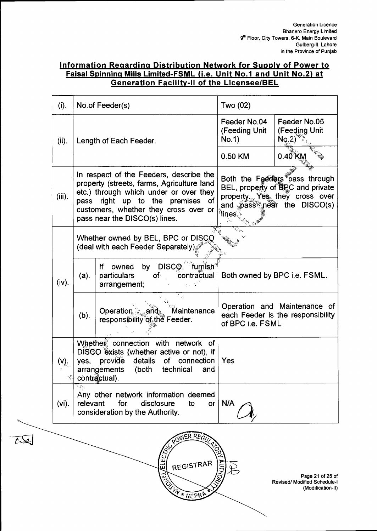### Information Regarding Distribution Network for Supply of Power to Faisal Spinning Mills Limited-FSML (i.e. Unit No.1 and Unit No.2) at **Generation Facility-II of the Licensee/BEL**

| (i).   | No.of Feeder(s)<br>Two (02)                                                                                                                                                                  |                                                                                                                                                                                                                                          |                                                                                                                                                                 |                                                                              |  |
|--------|----------------------------------------------------------------------------------------------------------------------------------------------------------------------------------------------|------------------------------------------------------------------------------------------------------------------------------------------------------------------------------------------------------------------------------------------|-----------------------------------------------------------------------------------------------------------------------------------------------------------------|------------------------------------------------------------------------------|--|
| (ii).  |                                                                                                                                                                                              | Length of Each Feeder.                                                                                                                                                                                                                   | Feeder No.04<br>(Feeding Unit<br>No.1)                                                                                                                          | Feeder No.05<br>(Feeding Unit<br>NQ <sub>2</sub>                             |  |
|        |                                                                                                                                                                                              |                                                                                                                                                                                                                                          | 0.50 KM                                                                                                                                                         | $0.40$ KM                                                                    |  |
| (iii). | pass                                                                                                                                                                                         | In respect of the Feeders, describe the<br>property (streets, farms, Agriculture land<br>etc.) through which under or over they<br>right up to the premises of<br>customers, whether they cross over or<br>pass near the DISCO(s) lines. | Both the Feeders pass through<br>BEL, property of EPC and private<br>property Yes they cross over<br>and pass near the DISCO(s)<br><sup>∕</sup> lines<br>ಿತಿ ಎ್ |                                                                              |  |
|        |                                                                                                                                                                                              | Whether owned by BEL, BPC or DISCO<br>(deal with each Feeder Separately)                                                                                                                                                                 |                                                                                                                                                                 |                                                                              |  |
| (iv).  | $(a)$ .                                                                                                                                                                                      | by DISCO, furnish <sup>®</sup><br>If owned<br>particulars<br>contractual<br>of<br>arrangement;<br>83 S                                                                                                                                   | Both owned by BPC i.e. FSML.                                                                                                                                    |                                                                              |  |
|        | (b).                                                                                                                                                                                         | 7. j.<br>Operation and Mainte<br>responsibility of the Feeder.<br>Maintenance                                                                                                                                                            | of BPC i.e. FSML                                                                                                                                                | Operation and Maintenance of<br>each Feeder is the responsibility            |  |
| (V).   | Whether connection with network of<br>DISCO exists (whether active or not), if<br>provide details<br>of connection<br>Yes<br>yes,<br>arrangements<br>(both technical<br>and<br>contractual). |                                                                                                                                                                                                                                          |                                                                                                                                                                 |                                                                              |  |
| (vi).  | Any other network information deemed<br>relevant<br>for<br>N/A<br>disclosure<br>to<br>or<br>consideration by the Authority.                                                                  |                                                                                                                                                                                                                                          |                                                                                                                                                                 |                                                                              |  |
|        |                                                                                                                                                                                              | OWER REGULA<br>REGISTRAR                                                                                                                                                                                                                 |                                                                                                                                                                 | Page 21 of 25 of<br><b>Revised/ Modified Schedule-I</b><br>(Modification-II) |  |

W \* NEPRA

أعكمتهم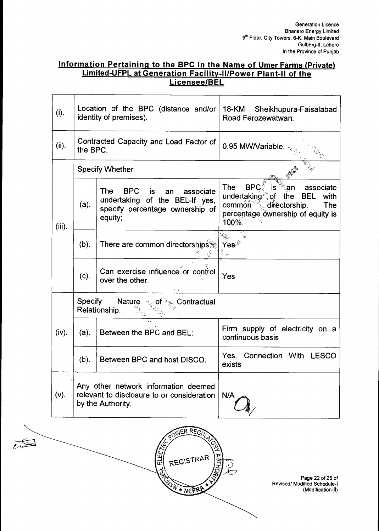### **Information Pertaining to the BPC in the Name of Umer Farms (Private) Limited-UFPL at Generation Facility-II/Power Plant-II of the Licensee/BEL**

| (i).      |                                                                                                         | Location of the BPC (distance and/or<br>identity of premises).                                                                           | 18-KM Sheikhupura-Faisalabad<br>Road Ferozewatwan.                                                                                                                                        |  |
|-----------|---------------------------------------------------------------------------------------------------------|------------------------------------------------------------------------------------------------------------------------------------------|-------------------------------------------------------------------------------------------------------------------------------------------------------------------------------------------|--|
| (ii).     | the BPC.                                                                                                | Contracted Capacity and Load Factor of                                                                                                   | 0.95 MW/Variable.                                                                                                                                                                         |  |
|           |                                                                                                         | <b>Specify Whether</b>                                                                                                                   |                                                                                                                                                                                           |  |
| $(iii)$ . | $(a)$ .                                                                                                 | <b>The</b><br><b>BPC</b><br><b>is</b><br>associate<br>an<br>undertaking of the BEL-If yes,<br>specify percentage ownership of<br>equity; | <b>The</b><br><b>BPC</b><br>associate<br>∶an<br>undertaking of<br>the<br><b>BEL</b><br>with<br>common<br>$\frac{1}{2}$ directorship.<br>The<br>percentage ownership of equity is<br>100%. |  |
|           | $(b)$ .                                                                                                 | There are common directorships;                                                                                                          | Yeś<br>高兴                                                                                                                                                                                 |  |
|           | $(c)$ .                                                                                                 | Can exercise influence or control<br>over the other.                                                                                     | Yes                                                                                                                                                                                       |  |
|           | Specify                                                                                                 | <b>Nature</b><br>of $\frac{1}{2}$ Contractual<br>Relationship.                                                                           |                                                                                                                                                                                           |  |
| (iv).     | $(a)$ .                                                                                                 | Between the BPC and BEL;                                                                                                                 | Firm supply of electricity on a<br>continuous basis                                                                                                                                       |  |
|           | $(b)$ .                                                                                                 | Between BPC and host DISCO.                                                                                                              | Yes. Connection With LESCO<br>exists                                                                                                                                                      |  |
| (v).      | Any other network information deemed<br>relevant to disclosure to or consideration<br>by the Authority. |                                                                                                                                          | N/A                                                                                                                                                                                       |  |



Page 22 of 25 of Revised/ Modified Schedule-I (Modification-II)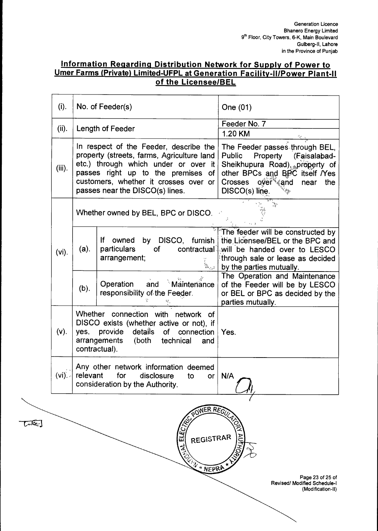### **Information Regarding Distribution Network for Supply of Power to Umer Farms (Private) Limited-UFPL at Generation Facility-II/Power Plant-II of the Licensee/BEL**

| (i).            | No. of Feeder(s)                                                                                                                                                                                                                                                                                                                                                                                                                                           | One (01)                                                                                                                                                                                                                                                                                                    |
|-----------------|------------------------------------------------------------------------------------------------------------------------------------------------------------------------------------------------------------------------------------------------------------------------------------------------------------------------------------------------------------------------------------------------------------------------------------------------------------|-------------------------------------------------------------------------------------------------------------------------------------------------------------------------------------------------------------------------------------------------------------------------------------------------------------|
| (ii).           | Length of Feeder                                                                                                                                                                                                                                                                                                                                                                                                                                           | Feeder No. 7                                                                                                                                                                                                                                                                                                |
| (iii).          | In respect of the Feeder, describe the<br>property (streets, farms, Agriculture land<br>etc.) through which under or over it<br>passes right up to the premises of<br>customers, whether it crosses over or<br>passes near the DISCO(s) lines.                                                                                                                                                                                                             | 1.20 KM<br>The Feeder passes through BEL,<br><b>Public</b><br>Property<br>(Faisalabad-<br>Sheikhupura Road), property of<br>other BPCs and BPC itself <i>Nes</i><br>Crosses over <sup>s</sup> and<br>near<br>the<br>DISCO(s) line.<br>$\mathcal{L}_{\mathcal{G}_{\mathcal{A}}^{\mathcal{G}_{\mathcal{A}}}}$ |
|                 | Whether owned by BEL, BPC or DISCO.                                                                                                                                                                                                                                                                                                                                                                                                                        |                                                                                                                                                                                                                                                                                                             |
| $(vi)$ .        | by DISCO, furnish<br><u>If</u><br>owned<br>(a).<br>particulars<br>contractual<br>of<br>arrangement;<br>$\begin{picture}(20,20) \put(0,0){\line(1,0){10}} \put(15,0){\line(1,0){10}} \put(15,0){\line(1,0){10}} \put(15,0){\line(1,0){10}} \put(15,0){\line(1,0){10}} \put(15,0){\line(1,0){10}} \put(15,0){\line(1,0){10}} \put(15,0){\line(1,0){10}} \put(15,0){\line(1,0){10}} \put(15,0){\line(1,0){10}} \put(15,0){\line(1,0){10}} \put(15,0){\line(1$ | The feeder will be constructed by<br>the Licensee/BEL or the BPC and<br>will be handed over to LESCO<br>through sale or lease as decided<br>by the parties mutually.                                                                                                                                        |
|                 | $^{\circ}$ Maintenance<br>Operation<br>and<br>(b).<br>responsibility of the Feeder.                                                                                                                                                                                                                                                                                                                                                                        | The Operation and Maintenance<br>of the Feeder will be by LESCO<br>or BEL or BPC as decided by the<br>parties mutually.                                                                                                                                                                                     |
| $(v)$ .         | Whether connection with network of<br>DISCO exists (whether active or not), if<br>provide details of connection<br>yes,<br>arrangements<br>(both<br>technical<br>and<br>contractual).                                                                                                                                                                                                                                                                      | Yes.                                                                                                                                                                                                                                                                                                        |
| $(vi)$ . $\sim$ | Any other network information deemed<br>relevant for disclosure<br>to or ∣ N/A<br>consideration by the Authority.                                                                                                                                                                                                                                                                                                                                          |                                                                                                                                                                                                                                                                                                             |
|                 | POWER REGU<br>ELECTRIC<br>REGISTRAR<br><b>EXAMPLE ANEPRA</b>                                                                                                                                                                                                                                                                                                                                                                                               | Page 23 of 25 of<br><b>Revised/ Modified Schedule-I</b><br>(Modification-II)                                                                                                                                                                                                                                |
|                 |                                                                                                                                                                                                                                                                                                                                                                                                                                                            |                                                                                                                                                                                                                                                                                                             |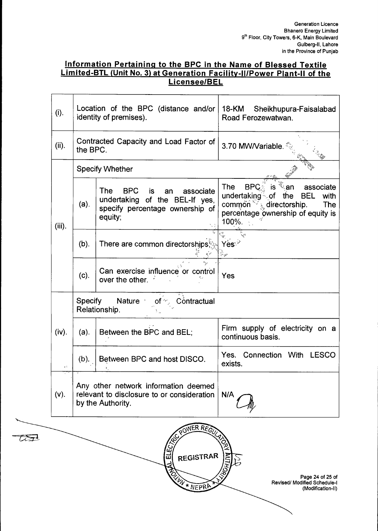Page 24 of 25 of

(Modification-II)

### **Information Pertaining to the BPC in the Name of Blessed Textile Limited-BTL (Unit No. 3) at Generation Facility-II/Power Plant-II of the Licensee/BEL**

| (i).      | Location of the BPC (distance and/or<br>identity of premises).                                          |                                                                                                                         | 18-KM Sheikhupura-Faisalabad<br>Road Ferozewatwan.                                                                                                                                         |  |
|-----------|---------------------------------------------------------------------------------------------------------|-------------------------------------------------------------------------------------------------------------------------|--------------------------------------------------------------------------------------------------------------------------------------------------------------------------------------------|--|
| (ii).     | the BPC.                                                                                                | Contracted Capacity and Load Factor of                                                                                  | 3.70 MW/Variable.                                                                                                                                                                          |  |
|           | <b>Specify Whether</b>                                                                                  |                                                                                                                         |                                                                                                                                                                                            |  |
| $(iii)$ . | $(a)$ .                                                                                                 | <b>The</b><br>BPC is<br>associate<br>an<br>undertaking of the BEL-If yes,<br>specify percentage ownership of<br>equity; | ँ.an<br><b>BPC</b><br>The<br>is.<br>associate<br>undertaking of the<br>BEL<br>with<br>commón $\sqrt[3]{\xi}$ directorship.<br><b>The</b><br>percentage ownership of equity is<br>$100\%$ . |  |
|           | $(b)$ .                                                                                                 | There are common directorships                                                                                          | Yes≫                                                                                                                                                                                       |  |
|           | (c).                                                                                                    | Can exercise influence or control<br>over the other.                                                                    | Yes                                                                                                                                                                                        |  |
|           |                                                                                                         | Specify Nature of Specify And Specify<br>Relationship.                                                                  |                                                                                                                                                                                            |  |
| (iv).     | $(a)$ .                                                                                                 | Between the BPC and BEL:                                                                                                | Firm supply of electricity on a<br>continuous basis.                                                                                                                                       |  |
| $\zeta$ 5 | $(b)$ .                                                                                                 | Between BPC and host DISCO.                                                                                             | Yes. Connection With LESCO<br>exists.                                                                                                                                                      |  |
| $(v)$ .   | Any other network information deemed<br>relevant to disclosure to or consideration<br>by the Authority. |                                                                                                                         | N/A                                                                                                                                                                                        |  |

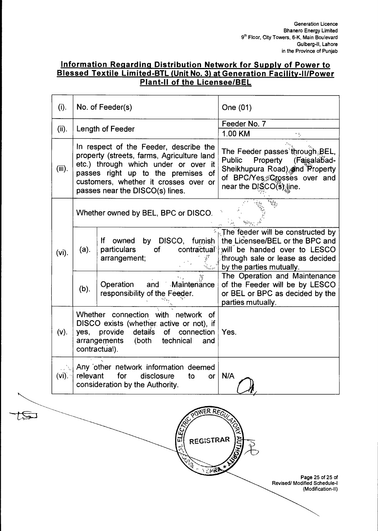### **Information Regarding Distribution Network for Supply of Power to Blessed Textile Limited-BTL (Unit No. 3) at Generation Facility-II/Power Plant-II of the Licensee/BEL**

| (i).     | No. of Feeder(s)                                                                                                                                                                                                                               |                                                                                                          | One (01)                                                                                                                                                                              |  |
|----------|------------------------------------------------------------------------------------------------------------------------------------------------------------------------------------------------------------------------------------------------|----------------------------------------------------------------------------------------------------------|---------------------------------------------------------------------------------------------------------------------------------------------------------------------------------------|--|
| (ii).    | Length of Feeder                                                                                                                                                                                                                               |                                                                                                          | Feeder No. 7<br>1.00 KM                                                                                                                                                               |  |
| (iii).   | In respect of the Feeder, describe the<br>property (streets, farms, Agriculture land<br>etc.) through which under or over it<br>passes right up to the premises of<br>customers, whether it crosses over or<br>passes near the DISCO(s) lines. |                                                                                                          | The Feeder passes through BEL,<br><b>Public</b><br>Property (Faisalabad-<br>Sheikhupura Road) and Property<br>of BPC/Yes Crosses over and<br>near the DISCO(s) line.                  |  |
|          | Whether owned by BEL, BPC or DISCO.                                                                                                                                                                                                            |                                                                                                          |                                                                                                                                                                                       |  |
| $(vi)$ . | (a).                                                                                                                                                                                                                                           | by DISCO, furnish<br>If owned<br>particulars<br>contractual<br>of<br>arrangement;                        | $*_{\mathbb{R}}$ The feeder will be constructed by<br>the Licensee/BEL or the BPC and<br>will be handed over to LESCO<br>through sale or lease as decided<br>by the parties mutually. |  |
|          | (b).                                                                                                                                                                                                                                           | Operation<br>and<br>Maintenance<br>responsibility of the Feeder.                                         | The Operation and Maintenance<br>of the Feeder will be by LESCO<br>or BEL or BPC as decided by the<br>parties mutually.                                                               |  |
| (v).     | Whether connection with network of<br>DISCO exists (whether active or not), if<br>provide<br>details<br>of<br>connection<br>yes,<br>arrangements<br>(both<br>technical<br>and<br>contractual).                                                 |                                                                                                          | Yes.                                                                                                                                                                                  |  |
| $(vi)$ . | relevant                                                                                                                                                                                                                                       | Any other network information deemed<br>for<br>disclosure<br>to<br>or<br>consideration by the Authority. | N/A                                                                                                                                                                                   |  |
|          |                                                                                                                                                                                                                                                |                                                                                                          |                                                                                                                                                                                       |  |

<u>(ଜୁମ</u>

|<br>XUTA

REGISTRAR

I EIPIRA

لكيلج

Page 25 of 25 of Revised/ Modified Schedule-I (Modification-II)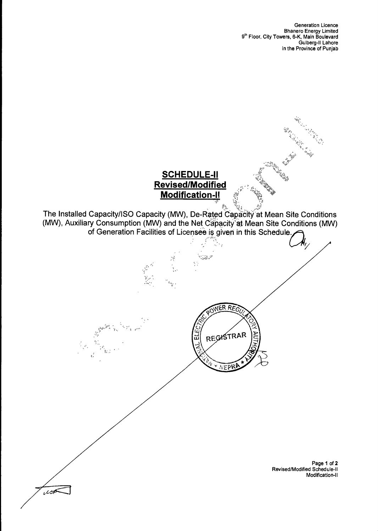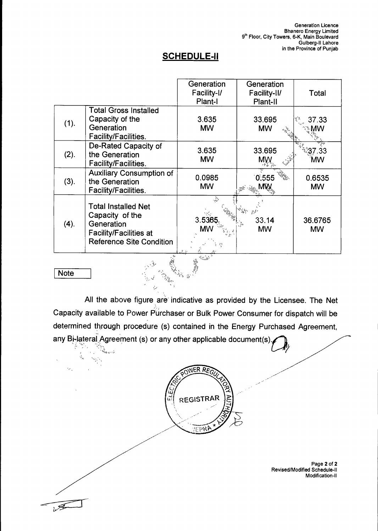### **SCHEDULE-II**

|      |                                                                                                                                 | Generation<br>Facility-I/<br>Plant-I | Generation<br>Facility-II/<br>Plant-II | Total                |
|------|---------------------------------------------------------------------------------------------------------------------------------|--------------------------------------|----------------------------------------|----------------------|
| (1). | <b>Total Gross Installed</b><br>Capacity of the<br>Generation<br>Facility/Facilities.                                           | 3.635<br><b>MW</b>                   | 33.695<br><b>MW</b>                    | 37.33<br>МW          |
| (2). | De-Rated Capacity of<br>the Generation<br>Facility/Facilities.                                                                  | 3.635<br><b>MW</b>                   | 33.695<br>MW                           | 37.33<br>МW          |
| (3). | <b>Auxiliary Consumption of</b><br>the Generation<br>Facility/Facilities.                                                       | 0.0985<br><b>MW</b>                  | 0,555                                  | 0.6535<br><b>MW</b>  |
| (4). | <b>Total Installed Net</b><br>Capacity of the<br>Generation<br><b>Facility/Facilities at</b><br><b>Reference Site Condition</b> | 3.5365<br>MΜ                         | 33.14<br><b>MW</b>                     | 36.6765<br><b>MW</b> |

### **Note**

 $\sum_{i=1}^{N-1}$ 

 $\phi_{\rm g}$ 

k,

ria no

All the above figure are indicative as provided by the Licensee. The Net Capacity available to Power Purchaser or Bulk Power Consumer for dispatch will be determined through procedure (s) contained in the Energy Purchased Agreement, any Bi-lateral Agreement (s) or any other applicable document(s).

 $\mathbb{S}_{\mathbb{Z}_{2n}}^n$ 



Page **2** of **2**  Revised/Modified Schedule-II Modification-II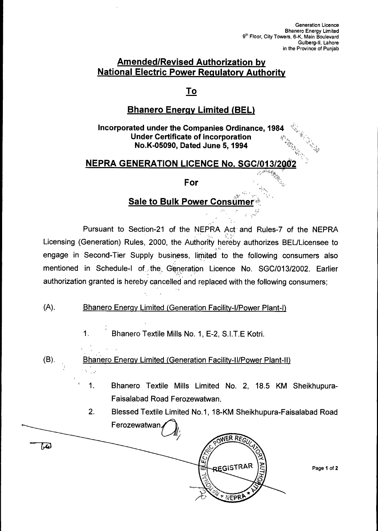### **Amended/Revised Authorization by National Electric Power Regulatory Authority**

### **To**

### **Bhanero Energy Limited (BEL)**

**Incorporated under the Companies Ordinance, 1984 Under Certificate of incorporation No.K-05090, Dated June 5, 1994** 

### **NEPRA GENERATION LICENCE No. SGC/013/200**

### **For**

### **Sale to Bulk Power Consumer**

Pursuant to Section-21 of the NEPRA Act and Rules-7 of the NEPRA Licensing (Generation) Rules, 2000, the Authority hereby authorizes BEL/Licensee to engage in Second-Tier Supply business, limited to the following consumers also mentioned in Schedule-I of the Generation Licence No. SGC/013/2002. Earlier authorization granted is hereby cancelled and replaced with the following consumers;

### (A). Bhanero Energy Limited (Generation Facility-I/Power Plant-I)

1. Bhanero Textile Mills No. 1, E-2, S.I.T.E Kotri.

(B). Bhanero Energy Limited (Generation Facility-II/Power Plant-II) ris (ju

> 1. Bhanero Textile Mills Limited No. 2, 18.5 KM Sheikhupura-Faisalabad Road Ferozewatwan.

> 2. Blessed Textile Limited No.1, 18-KM Sheikhupura-Faisalabad Road Ferozewatwan

ER REG 1,4) م<br>ما **REGISTRAR** m 利亚伯子

Page **1** of **2**